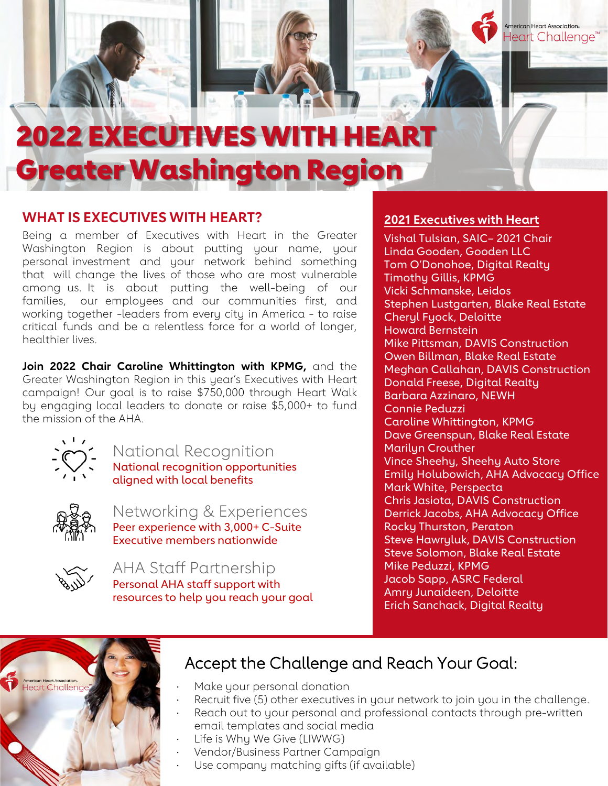# 2022 EXECUTIVES WITH HEART Greater Washington Region

### **WHAT IS EXECUTIVES WITH HEART?**

Being a member of Executives with Heart in the Greater Washington Region is about putting your name, your personal investment and your network behind something that will change the lives of those who are most vulnerable among us. It is about putting the well-being of our families, our employees and our communities first, and working together -leaders from every city in America - to raise critical funds and be a relentless force for a world of longer, healthier lives.

**Join 2022 Chair Caroline Whittington with KPMG,** and the Greater Washington Region in this year's Executives with Heart campaign! Our goal is to raise \$750,000 through Heart Walk by engaging local leaders to donate or raise \$5,000+ to fund the mission of the AHA.



National Recognition

National recognition opportunities aligned with local benefits



Networking & Experiences Peer experience with 3,000+ C-Suite Executive members nationwide



AHA Staff Partnership Personal AHA staff support with resources to help you reach your goal

### **2021 Executives with Heart**

nerican Heart Association. Heart Challenge<sup>®</sup>

Vishal Tulsian, SAIC– 2021 Chair Linda Gooden, Gooden LLC Tom O'Donohoe, Digital Realty Timothy Gillis, KPMG Vicki Schmanske, Leidos Stephen Lustgarten, Blake Real Estate Cheryl Fyock, Deloitte Howard Bernstein Mike Pittsman, DAVIS Construction Owen Billman, Blake Real Estate Meghan Callahan, DAVIS Construction Donald Freese, Digital Realty Barbara Azzinaro, NEWH Connie Peduzzi Caroline Whittington, KPMG Dave Greenspun, Blake Real Estate Marilyn Crouther Vince Sheehy, Sheehy Auto Store Emily Holubowich, AHA Advocacy Office Mark White, Perspecta Chris Jasiota, DAVIS Construction Derrick Jacobs, AHA Advocacy Office Rocky Thurston, Peraton Steve Hawryluk, DAVIS Construction Steve Solomon, Blake Real Estate Mike Peduzzi, KPMG Jacob Sapp, ASRC Federal Amry Junaideen, Deloitte Erich Sanchack, Digital Realty



### Accept the Challenge and Reach Your Goal:

- Make your personal donation
- Recruit five (5) other executives in your network to join you in the challenge.
- Reach out to your personal and professional contacts through pre-written email templates and social media
- Life is Why We Give (LIWWG)
- · Vendor/Business Partner Campaign
- Use company matching gifts (if available)